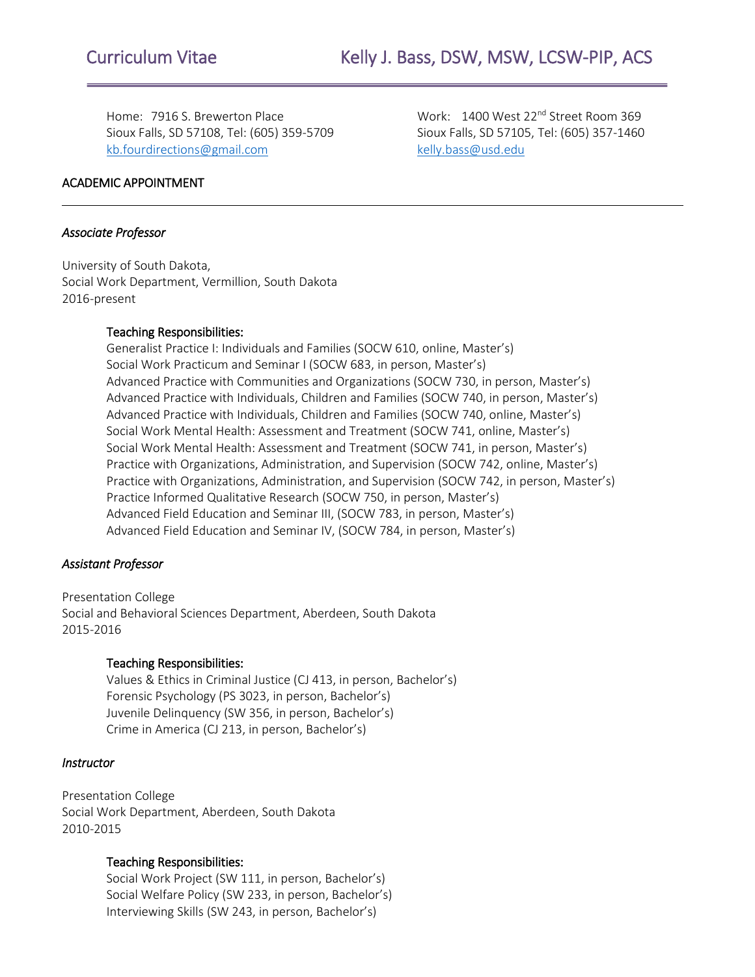Home: 7916 S. Brewerton Place Work: 1400 West 22<sup>nd</sup> Street Room 369 Sioux Falls, SD 57108, Tel: (605) 359-5709 Sioux Falls, SD 57105, Tel: (605) 357-1460 [kb.fourdirections@gmail.com](mailto:kb.fourdirections@gmail.com) [kelly.bass@usd.edu](mailto:kelly.bass@usd.edu)

### ACADEMIC APPOINTMENT

#### *Associate Professor*

University of South Dakota, Social Work Department, Vermillion, South Dakota 2016-present

#### Teaching Responsibilities:

Generalist Practice I: Individuals and Families (SOCW 610, online, Master's) Social Work Practicum and Seminar I (SOCW 683, in person, Master's) Advanced Practice with Communities and Organizations (SOCW 730, in person, Master's) Advanced Practice with Individuals, Children and Families (SOCW 740, in person, Master's) Advanced Practice with Individuals, Children and Families (SOCW 740, online, Master's) Social Work Mental Health: Assessment and Treatment (SOCW 741, online, Master's) Social Work Mental Health: Assessment and Treatment (SOCW 741, in person, Master's) Practice with Organizations, Administration, and Supervision (SOCW 742, online, Master's) Practice with Organizations, Administration, and Supervision (SOCW 742, in person, Master's) Practice Informed Qualitative Research (SOCW 750, in person, Master's) Advanced Field Education and Seminar III, (SOCW 783, in person, Master's) Advanced Field Education and Seminar IV, (SOCW 784, in person, Master's)

#### *Assistant Professor*

Presentation College Social and Behavioral Sciences Department, Aberdeen, South Dakota 2015-2016

#### Teaching Responsibilities:

Values & Ethics in Criminal Justice (CJ 413, in person, Bachelor's) Forensic Psychology (PS 3023, in person, Bachelor's) Juvenile Delinquency (SW 356, in person, Bachelor's) Crime in America (CJ 213, in person, Bachelor's)

#### *Instructor*

Presentation College Social Work Department, Aberdeen, South Dakota 2010-2015

#### Teaching Responsibilities:

Social Work Project (SW 111, in person, Bachelor's) Social Welfare Policy (SW 233, in person, Bachelor's) Interviewing Skills (SW 243, in person, Bachelor's)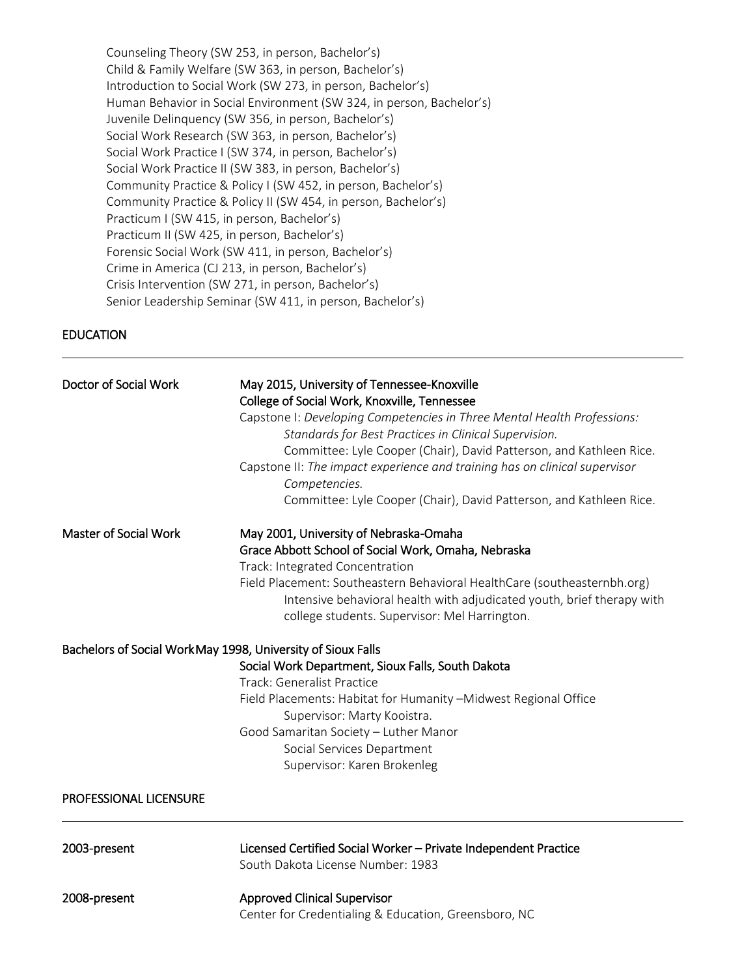Counseling Theory (SW 253, in person, Bachelor's) Child & Family Welfare (SW 363, in person, Bachelor's) Introduction to Social Work (SW 273, in person, Bachelor's) Human Behavior in Social Environment (SW 324, in person, Bachelor's) Juvenile Delinquency (SW 356, in person, Bachelor's) Social Work Research (SW 363, in person, Bachelor's) Social Work Practice I (SW 374, in person, Bachelor's) Social Work Practice II (SW 383, in person, Bachelor's) Community Practice & Policy I (SW 452, in person, Bachelor's) Community Practice & Policy II (SW 454, in person, Bachelor's) Practicum I (SW 415, in person, Bachelor's) Practicum II (SW 425, in person, Bachelor's) Forensic Social Work (SW 411, in person, Bachelor's) Crime in America (CJ 213, in person, Bachelor's) Crisis Intervention (SW 271, in person, Bachelor's) Senior Leadership Seminar (SW 411, in person, Bachelor's)

## EDUCATION

| Doctor of Social Work        | May 2015, University of Tennessee-Knoxville<br>College of Social Work, Knoxville, Tennessee<br>Capstone I: Developing Competencies in Three Mental Health Professions:<br>Standards for Best Practices in Clinical Supervision.<br>Committee: Lyle Cooper (Chair), David Patterson, and Kathleen Rice.<br>Capstone II: The impact experience and training has on clinical supervisor<br>Competencies.<br>Committee: Lyle Cooper (Chair), David Patterson, and Kathleen Rice. |
|------------------------------|------------------------------------------------------------------------------------------------------------------------------------------------------------------------------------------------------------------------------------------------------------------------------------------------------------------------------------------------------------------------------------------------------------------------------------------------------------------------------|
| <b>Master of Social Work</b> | May 2001, University of Nebraska-Omaha<br>Grace Abbott School of Social Work, Omaha, Nebraska<br>Track: Integrated Concentration<br>Field Placement: Southeastern Behavioral HealthCare (southeasternbh.org)<br>Intensive behavioral health with adjudicated youth, brief therapy with<br>college students. Supervisor: Mel Harrington.                                                                                                                                      |
| PROFESSIONAL LICENSURE       | Bachelors of Social WorkMay 1998, University of Sioux Falls<br>Social Work Department, Sioux Falls, South Dakota<br><b>Track: Generalist Practice</b><br>Field Placements: Habitat for Humanity -Midwest Regional Office<br>Supervisor: Marty Kooistra.<br>Good Samaritan Society - Luther Manor<br>Social Services Department<br>Supervisor: Karen Brokenleg                                                                                                                |
| 2003-present                 | Licensed Certified Social Worker - Private Independent Practice<br>South Dakota License Number: 1983                                                                                                                                                                                                                                                                                                                                                                         |
| 2008-present                 | <b>Approved Clinical Supervisor</b><br>Center for Credentialing & Education, Greensboro, NC                                                                                                                                                                                                                                                                                                                                                                                  |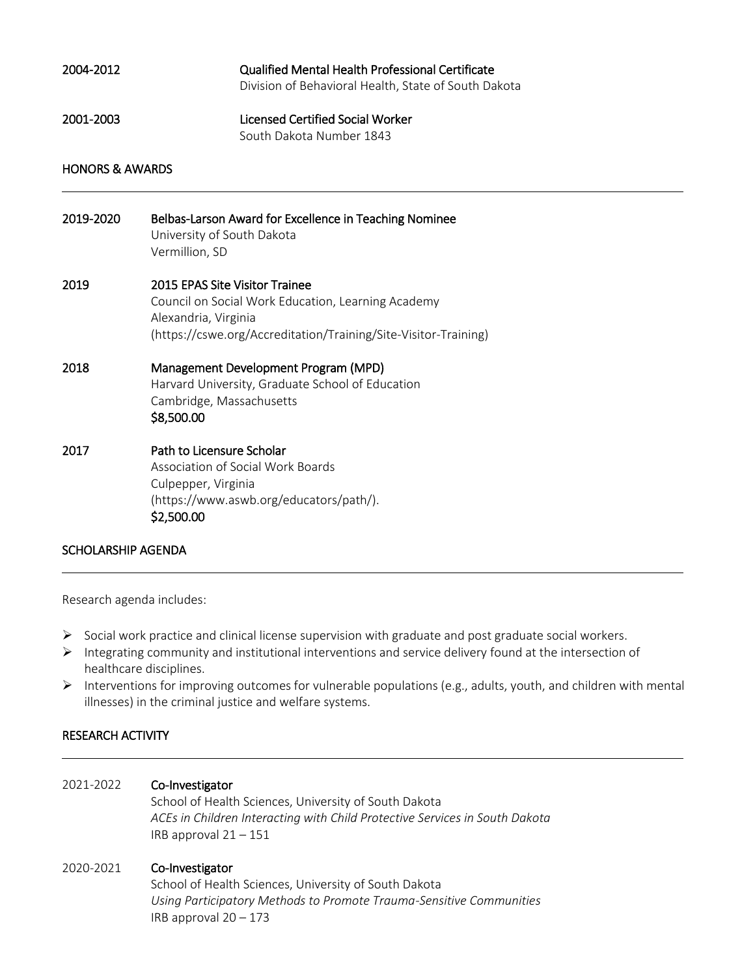| 2004-2012 | Qualified Mental Health Professional Certificate     |
|-----------|------------------------------------------------------|
|           | Division of Behavioral Health, State of South Dakota |

2001-2003 Licensed Certified Social Worker South Dakota Number 1843

## HONORS & AWARDS

2019-2020 Belbas-Larson Award for Excellence in Teaching Nominee University of South Dakota Vermillion, SD 2019 2015 EPAS Site Visitor Trainee Council on Social Work Education, Learning Academy Alexandria, Virginia [\(https://cswe.org/Accreditation/Training/Site-Visitor-Training\)](https://cswe.org/Accreditation/Training/Site-Visitor-Training) 2018 Management Development Program (MPD) Harvard University, Graduate School of Education Cambridge, Massachusetts \$8,500.00

# 2017 Path to Licensure Scholar Association of Social Work Boards Culpepper, Virginia (https://www.aswb.org/educators/path/). \$2,500.00

# SCHOLARSHIP AGENDA

 $\overline{a}$ 

Research agenda includes:

- $\triangleright$  Social work practice and clinical license supervision with graduate and post graduate social workers.
- $\triangleright$  Integrating community and institutional interventions and service delivery found at the intersection of healthcare disciplines.
- $\triangleright$  Interventions for improving outcomes for vulnerable populations (e.g., adults, youth, and children with mental illnesses) in the criminal justice and welfare systems.

# RESEARCH ACTIVITY

## 2021-2022 Co-Investigator

School of Health Sciences, University of South Dakota *ACEs in Children Interacting with Child Protective Services in South Dakota* IRB approval 21 – 151

## 2020-2021 Co-Investigator

School of Health Sciences, University of South Dakota *Using Participatory Methods to Promote Trauma-Sensitive Communities* IRB approval 20 – 173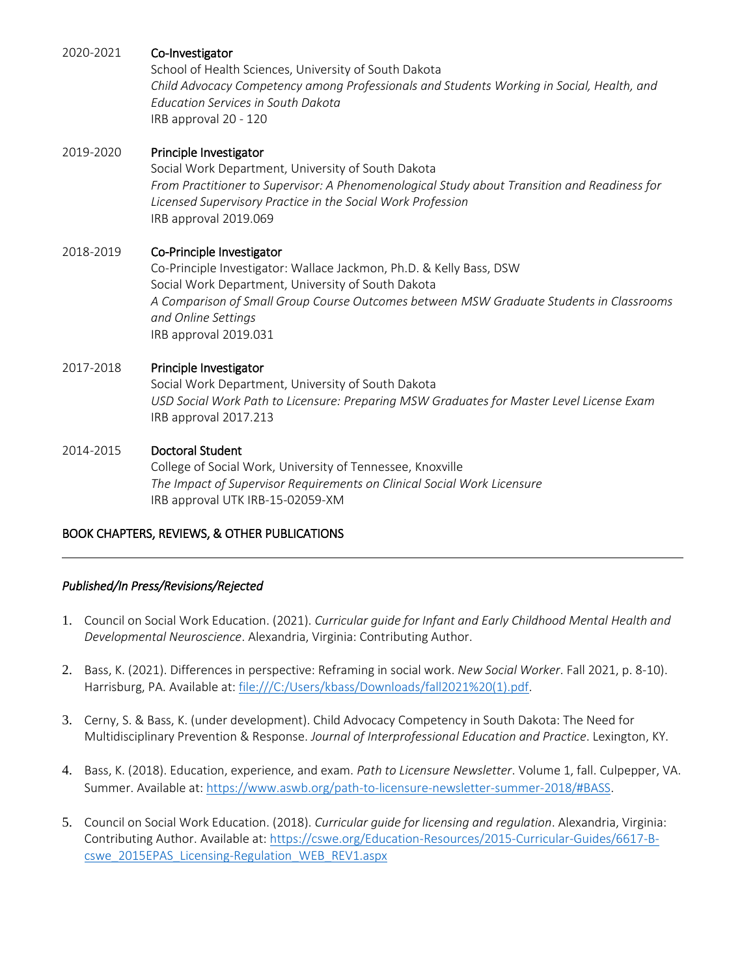## 2020-2021 Co-Investigator

School of Health Sciences, University of South Dakota *Child Advocacy Competency among Professionals and Students Working in Social, Health, and Education Services in South Dakota* IRB approval 20 - 120

## 2019-2020 Principle Investigator

Social Work Department, University of South Dakota *From Practitioner to Supervisor: A Phenomenological Study about Transition and Readiness for Licensed Supervisory Practice in the Social Work Profession* IRB approval 2019.069

## 2018-2019 Co-Principle Investigator

Co-Principle Investigator: Wallace Jackmon, Ph.D. & Kelly Bass, DSW Social Work Department, University of South Dakota *A Comparison of Small Group Course Outcomes between MSW Graduate Students in Classrooms and Online Settings* IRB approval 2019.031

## 2017-2018 Principle Investigator

Social Work Department, University of South Dakota *USD Social Work Path to Licensure: Preparing MSW Graduates for Master Level License Exam* IRB approval 2017.213

### 2014-2015 Doctoral Student

College of Social Work, University of Tennessee, Knoxville *The Impact of Supervisor Requirements on Clinical Social Work Licensure* IRB approval UTK IRB-15-02059-XM

## BOOK CHAPTERS, REVIEWS, & OTHER PUBLICATIONS

## *Published/In Press/Revisions/Rejected*

- 1. Council on Social Work Education. (2021). *Curricular guide for Infant and Early Childhood Mental Health and Developmental Neuroscience*. Alexandria, Virginia: Contributing Author.
- 2. Bass, K. (2021). Differences in perspective: Reframing in social work. *New Social Worker*. Fall 2021, p. 8-10). Harrisburg, PA. Available at[: file:///C:/Users/kbass/Downloads/fall2021%20\(1\).pdf.](file:///C:/Users/kbass/Downloads/fall2021%20(1).pdf)
- 3. Cerny, S. & Bass, K. (under development). Child Advocacy Competency in South Dakota: The Need for Multidisciplinary Prevention & Response. *Journal of Interprofessional Education and Practice*. Lexington, KY.
- 4. Bass, K. (2018). Education, experience, and exam. *Path to Licensure Newsletter*. Volume 1, fall. Culpepper, VA. Summer. Available at: [https://www.aswb.org/path-to-licensure-newsletter-summer-2018/#BASS.](https://www.aswb.org/path-to-licensure-newsletter-summer-2018/#BASS)
- 5. Council on Social Work Education. (2018). *Curricular guide for licensing and regulation*. Alexandria, Virginia: Contributing Author. Available at: [https://cswe.org/Education-Resources/2015-Curricular-Guides/6617-B](https://cswe.org/Education-Resources/2015-Curricular-Guides/6617-B-cswe_2015EPAS_Licensing-Regulation_WEB_REV1.aspx)[cswe\\_2015EPAS\\_Licensing-Regulation\\_WEB\\_REV1.aspx](https://cswe.org/Education-Resources/2015-Curricular-Guides/6617-B-cswe_2015EPAS_Licensing-Regulation_WEB_REV1.aspx)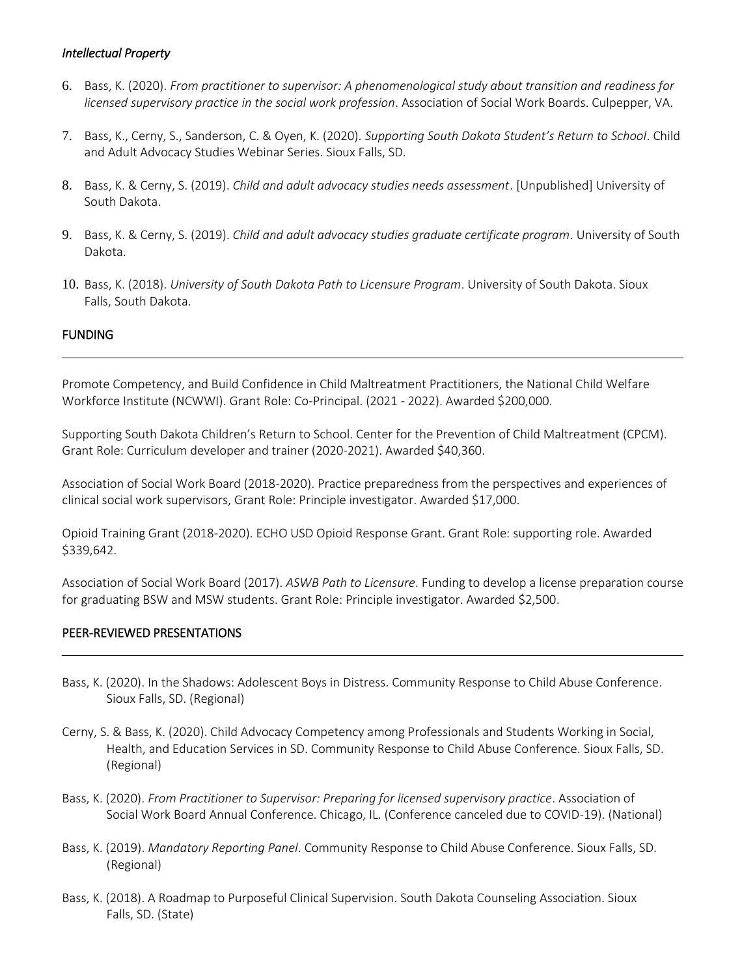## *Intellectual Property*

- 6. Bass, K. (2020). *From practitioner to supervisor: A phenomenological study about transition and readiness for licensed supervisory practice in the social work profession*. Association of Social Work Boards. Culpepper, VA.
- 7. Bass, K., Cerny, S., Sanderson, C. & Oyen, K. (2020). *Supporting South Dakota Student's Return to School*. Child and Adult Advocacy Studies Webinar Series. Sioux Falls, SD.
- 8. Bass, K. & Cerny, S. (2019). *Child and adult advocacy studies needs assessment*. [Unpublished] University of South Dakota.
- 9. Bass, K. & Cerny, S. (2019). *Child and adult advocacy studies graduate certificate program*. University of South Dakota.
- 10. Bass, K. (2018). *University of South Dakota Path to Licensure Program*. University of South Dakota. Sioux Falls, South Dakota.

# FUNDING

l

Promote Competency, and Build Confidence in Child Maltreatment Practitioners, the National Child Welfare Workforce Institute (NCWWI). Grant Role: Co-Principal. (2021 - 2022). Awarded \$200,000.

Supporting South Dakota Children's Return to School. Center for the Prevention of Child Maltreatment (CPCM). Grant Role: Curriculum developer and trainer (2020-2021). Awarded \$40,360.

Association of Social Work Board (2018-2020). Practice preparedness from the perspectives and experiences of clinical social work supervisors, Grant Role: Principle investigator. Awarded \$17,000.

Opioid Training Grant (2018-2020). ECHO USD Opioid Response Grant. Grant Role: supporting role. Awarded \$339,642.

Association of Social Work Board (2017). *ASWB Path to Licensure*. Funding to develop a license preparation course for graduating BSW and MSW students. Grant Role: Principle investigator. Awarded \$2,500.

## PEER-REVIEWED PRESENTATIONS

- Bass, K. (2020). In the Shadows: Adolescent Boys in Distress. Community Response to Child Abuse Conference. Sioux Falls, SD. (Regional)
- Cerny, S. & Bass, K. (2020). Child Advocacy Competency among Professionals and Students Working in Social, Health, and Education Services in SD. Community Response to Child Abuse Conference. Sioux Falls, SD. (Regional)
- Bass, K. (2020). *From Practitioner to Supervisor: Preparing for licensed supervisory practice*. Association of Social Work Board Annual Conference. Chicago, IL. (Conference canceled due to COVID-19). (National)
- Bass, K. (2019). *Mandatory Reporting Panel*. Community Response to Child Abuse Conference. Sioux Falls, SD. (Regional)
- Bass, K. (2018). A Roadmap to Purposeful Clinical Supervision. South Dakota Counseling Association. Sioux Falls, SD. (State)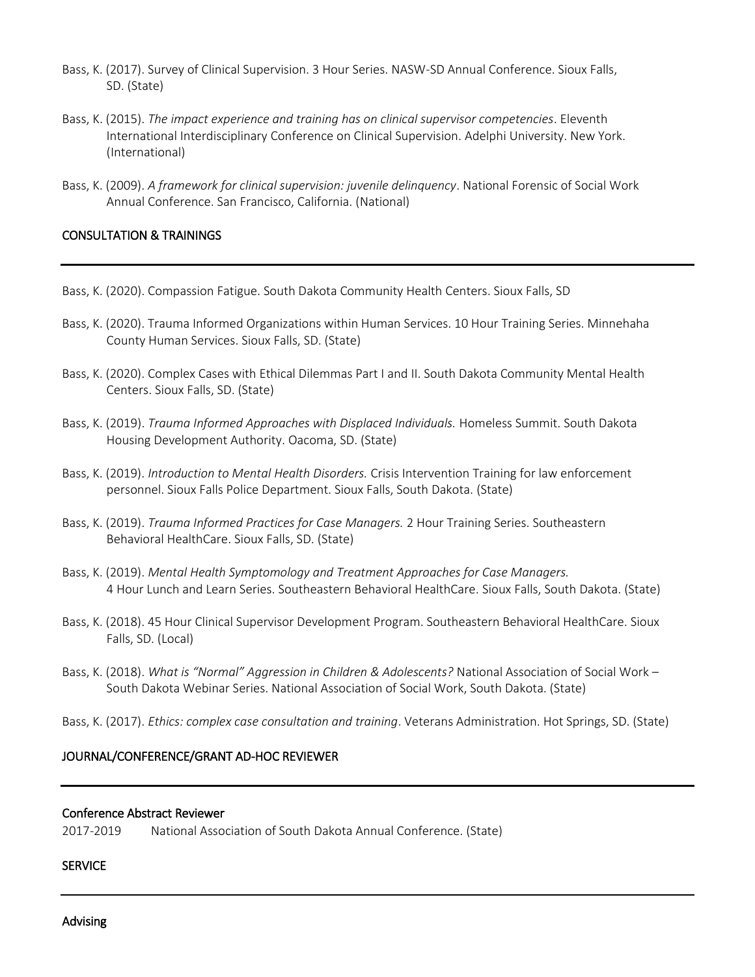- Bass, K. (2017). Survey of Clinical Supervision. 3 Hour Series. NASW-SD Annual Conference. Sioux Falls, SD. (State)
- Bass, K. (2015). *The impact experience and training has on clinical supervisor competencies*. Eleventh International Interdisciplinary Conference on Clinical Supervision. Adelphi University. New York. (International)
- Bass, K. (2009). *A framework for clinical supervision: juvenile delinquency*. National Forensic of Social Work Annual Conference. San Francisco, California. (National)

## CONSULTATION & TRAININGS

- Bass, K. (2020). Compassion Fatigue. South Dakota Community Health Centers. Sioux Falls, SD
- Bass, K. (2020). Trauma Informed Organizations within Human Services. 10 Hour Training Series. Minnehaha County Human Services. Sioux Falls, SD. (State)
- Bass, K. (2020). Complex Cases with Ethical Dilemmas Part I and II. South Dakota Community Mental Health Centers. Sioux Falls, SD. (State)
- Bass, K. (2019). *Trauma Informed Approaches with Displaced Individuals.* Homeless Summit. South Dakota Housing Development Authority. Oacoma, SD. (State)
- Bass, K. (2019). *Introduction to Mental Health Disorders.* Crisis Intervention Training for law enforcement personnel. Sioux Falls Police Department. Sioux Falls, South Dakota. (State)
- Bass, K. (2019). *Trauma Informed Practices for Case Managers.* 2 Hour Training Series. Southeastern Behavioral HealthCare. Sioux Falls, SD. (State)
- Bass, K. (2019). *Mental Health Symptomology and Treatment Approaches for Case Managers.* 4 Hour Lunch and Learn Series. Southeastern Behavioral HealthCare. Sioux Falls, South Dakota. (State)
- Bass, K. (2018). 45 Hour Clinical Supervisor Development Program. Southeastern Behavioral HealthCare. Sioux Falls, SD. (Local)
- Bass, K. (2018). *What is "Normal" Aggression in Children & Adolescents?* National Association of Social Work South Dakota Webinar Series. National Association of Social Work, South Dakota. (State)
- Bass, K. (2017). *Ethics: complex case consultation and training*. Veterans Administration. Hot Springs, SD. (State)

#### JOURNAL/CONFERENCE/GRANT AD-HOC REVIEWER

## Conference Abstract Reviewer

2017-2019 National Association of South Dakota Annual Conference. (State)

#### **SERVICE**

Advising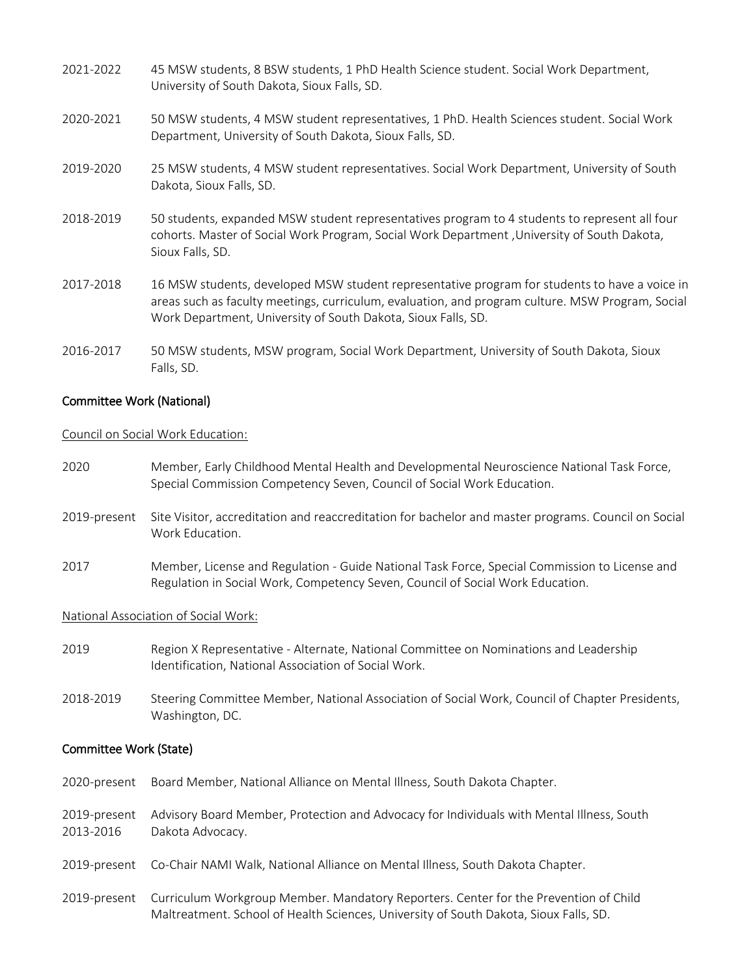2021-2022 45 MSW students, 8 BSW students, 1 PhD Health Science student. Social Work Department, University of South Dakota, Sioux Falls, SD. 2020-2021 50 MSW students, 4 MSW student representatives, 1 PhD. Health Sciences student. Social Work Department, University of South Dakota, Sioux Falls, SD. 2019-2020 25 MSW students, 4 MSW student representatives. Social Work Department, University of South Dakota, Sioux Falls, SD. 2018-2019 50 students, expanded MSW student representatives program to 4 students to represent all four cohorts. Master of Social Work Program, Social Work Department ,University of South Dakota, Sioux Falls, SD. 2017-2018 16 MSW students, developed MSW student representative program for students to have a voice in areas such as faculty meetings, curriculum, evaluation, and program culture. MSW Program, Social Work Department, University of South Dakota, Sioux Falls, SD. 2016-2017 50 MSW students, MSW program, Social Work Department, University of South Dakota, Sioux

# Committee Work (National)

#### Council on Social Work Education:

Falls, SD.

- 2020 Member, Early Childhood Mental Health and Developmental Neuroscience National Task Force, Special Commission Competency Seven, Council of Social Work Education.
- 2019-present Site Visitor, accreditation and reaccreditation for bachelor and master programs. Council on Social Work Education.
- 2017 Member, License and Regulation Guide National Task Force, Special Commission to License and Regulation in Social Work, Competency Seven, Council of Social Work Education.

#### National Association of Social Work:

- 2019 Region X Representative Alternate, National Committee on Nominations and Leadership Identification, National Association of Social Work.
- 2018-2019 Steering Committee Member, National Association of Social Work, Council of Chapter Presidents, Washington, DC.

#### Committee Work (State)

- 2020-present Board Member, National Alliance on Mental Illness, South Dakota Chapter.
- 2019-present Advisory Board Member, Protection and Advocacy for Individuals with Mental Illness, South 2013-2016 Dakota Advocacy.
- 2019-present Co-Chair NAMI Walk, National Alliance on Mental Illness, South Dakota Chapter.
- 2019-present Curriculum Workgroup Member. Mandatory Reporters. Center for the Prevention of Child Maltreatment. School of Health Sciences, University of South Dakota, Sioux Falls, SD.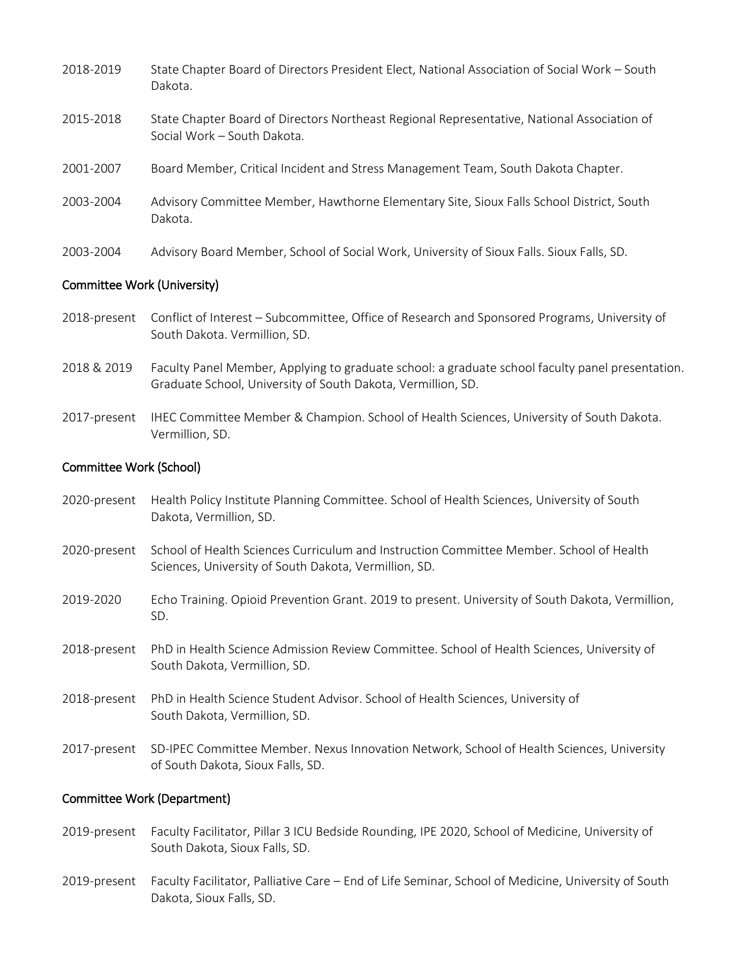| 2018-2019 | State Chapter Board of Directors President Elect, National Association of Social Work - South<br>Dakota.                   |
|-----------|----------------------------------------------------------------------------------------------------------------------------|
| 2015-2018 | State Chapter Board of Directors Northeast Regional Representative, National Association of<br>Social Work – South Dakota. |
| 2001-2007 | Board Member, Critical Incident and Stress Management Team, South Dakota Chapter.                                          |
| 2003-2004 | Advisory Committee Member, Hawthorne Elementary Site, Sioux Falls School District, South<br>Dakota.                        |
| 2003-2004 | Advisory Board Member, School of Social Work, University of Sioux Falls. Sioux Falls, SD.                                  |

# Committee Work (University)

- 2018-present Conflict of Interest Subcommittee, Office of Research and Sponsored Programs, University of South Dakota. Vermillion, SD.
- 2018 & 2019 Faculty Panel Member, Applying to graduate school: a graduate school faculty panel presentation. Graduate School, University of South Dakota, Vermillion, SD.
- 2017-present IHEC Committee Member & Champion. School of Health Sciences, University of South Dakota. Vermillion, SD.

# Committee Work (School)

- 2020-present Health Policy Institute Planning Committee. School of Health Sciences, University of South Dakota, Vermillion, SD.
- 2020-present School of Health Sciences Curriculum and Instruction Committee Member. School of Health Sciences, University of South Dakota, Vermillion, SD.
- 2019-2020 Echo Training. Opioid Prevention Grant. 2019 to present. University of South Dakota, Vermillion, SD.
- 2018-present PhD in Health Science Admission Review Committee. School of Health Sciences, University of South Dakota, Vermillion, SD.
- 2018-present PhD in Health Science Student Advisor. School of Health Sciences, University of South Dakota, Vermillion, SD.
- 2017-present SD-IPEC Committee Member. Nexus Innovation Network, School of Health Sciences, University of South Dakota, Sioux Falls, SD.

## Committee Work (Department)

- 2019-present Faculty Facilitator, Pillar 3 ICU Bedside Rounding, IPE 2020, School of Medicine, University of South Dakota, Sioux Falls, SD.
- 2019-present Faculty Facilitator, Palliative Care End of Life Seminar, School of Medicine, University of South Dakota, Sioux Falls, SD.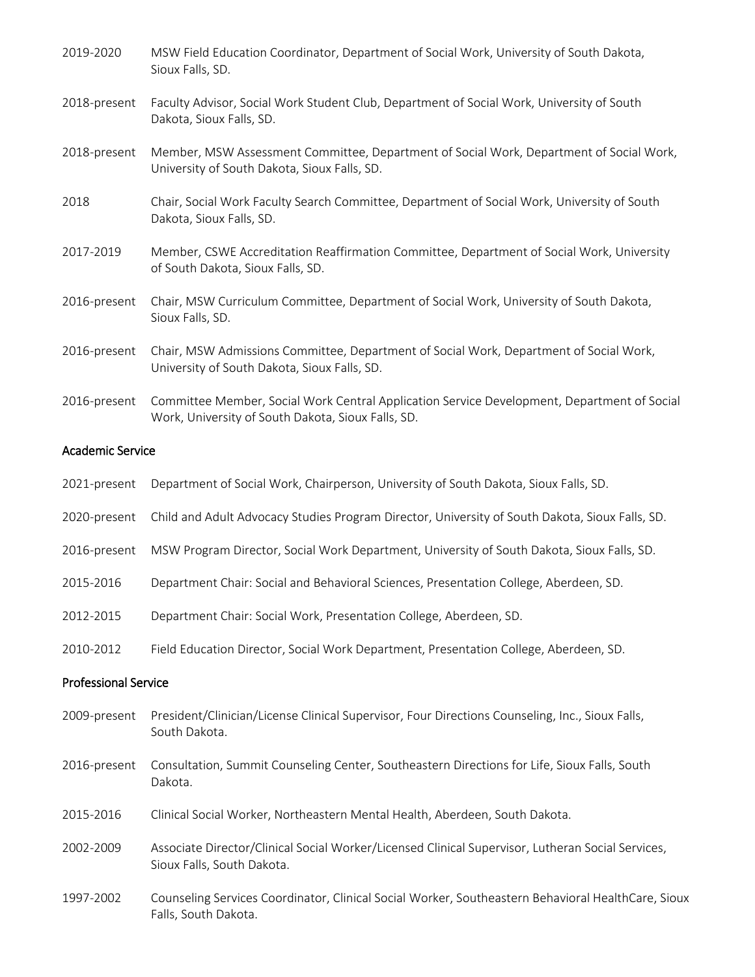| 2019-2020               | MSW Field Education Coordinator, Department of Social Work, University of South Dakota,<br>Sioux Falls, SD.                                       |
|-------------------------|---------------------------------------------------------------------------------------------------------------------------------------------------|
| 2018-present            | Faculty Advisor, Social Work Student Club, Department of Social Work, University of South<br>Dakota, Sioux Falls, SD.                             |
| 2018-present            | Member, MSW Assessment Committee, Department of Social Work, Department of Social Work,<br>University of South Dakota, Sioux Falls, SD.           |
| 2018                    | Chair, Social Work Faculty Search Committee, Department of Social Work, University of South<br>Dakota, Sioux Falls, SD.                           |
| 2017-2019               | Member, CSWE Accreditation Reaffirmation Committee, Department of Social Work, University<br>of South Dakota, Sioux Falls, SD.                    |
| 2016-present            | Chair, MSW Curriculum Committee, Department of Social Work, University of South Dakota,<br>Sioux Falls, SD.                                       |
| 2016-present            | Chair, MSW Admissions Committee, Department of Social Work, Department of Social Work,<br>University of South Dakota, Sioux Falls, SD.            |
| 2016-present            | Committee Member, Social Work Central Application Service Development, Department of Social<br>Work, University of South Dakota, Sioux Falls, SD. |
| <b>Academic Service</b> |                                                                                                                                                   |
| 2021-present            | Department of Social Work, Chairperson, University of South Dakota, Sioux Falls, SD.                                                              |

- 2020-present Child and Adult Advocacy Studies Program Director, University of South Dakota, Sioux Falls, SD.
- 2016-present MSW Program Director, Social Work Department, University of South Dakota, Sioux Falls, SD.
- 2015-2016 Department Chair: Social and Behavioral Sciences, Presentation College, Aberdeen, SD.
- 2012-2015 Department Chair: Social Work, Presentation College, Aberdeen, SD.
- 2010-2012 Field Education Director, Social Work Department, Presentation College, Aberdeen, SD.

#### Professional Service

| 2009-present President/Clinician/License Clinical Supervisor, Four Directions Counseling, Inc., Sioux Falls, |
|--------------------------------------------------------------------------------------------------------------|
| South Dakota.                                                                                                |
|                                                                                                              |

- 2016-present Consultation, Summit Counseling Center, Southeastern Directions for Life, Sioux Falls, South Dakota.
- 2015-2016 Clinical Social Worker, Northeastern Mental Health, Aberdeen, South Dakota.
- 2002-2009 Associate Director/Clinical Social Worker/Licensed Clinical Supervisor, Lutheran Social Services, Sioux Falls, South Dakota.
- 1997-2002 Counseling Services Coordinator, Clinical Social Worker, Southeastern Behavioral HealthCare, Sioux Falls, South Dakota.